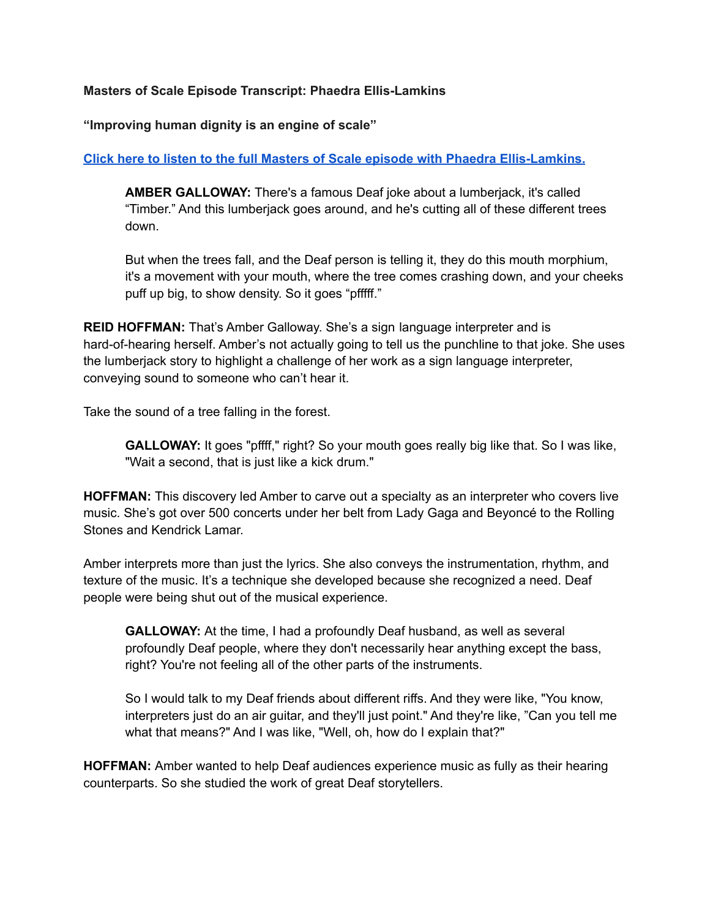## **Masters of Scale Episode Transcript: Phaedra Ellis-Lamkins**

**"Improving human dignity is an engine of scale"**

## **Click here to listen to the full Masters of Scale episode with Phaedra [Ellis-Lamkins.](https://listen.mastersofscale.com/PhaedraEllis-LamkinsPDF)**

**AMBER GALLOWAY:** There's a famous Deaf joke about a lumberjack, it's called "Timber." And this lumberjack goes around, and he's cutting all of these different trees down.

But when the trees fall, and the Deaf person is telling it, they do this mouth morphium, it's a movement with your mouth, where the tree comes crashing down, and your cheeks puff up big, to show density. So it goes "pfffff."

**REID HOFFMAN:** That's Amber Galloway. She's a sign language interpreter and is hard-of-hearing herself. Amber's not actually going to tell us the punchline to that joke. She uses the lumberjack story to highlight a challenge of her work as a sign language interpreter, conveying sound to someone who can't hear it.

Take the sound of a tree falling in the forest.

**GALLOWAY:** It goes "pffff," right? So your mouth goes really big like that. So I was like, "Wait a second, that is just like a kick drum."

**HOFFMAN:** This discovery led Amber to carve out a specialty as an interpreter who covers live music. She's got over 500 concerts under her belt from Lady Gaga and Beyoncé to the Rolling Stones and Kendrick Lamar.

Amber interprets more than just the lyrics. She also conveys the instrumentation, rhythm, and texture of the music. It's a technique she developed because she recognized a need. Deaf people were being shut out of the musical experience.

**GALLOWAY:** At the time, I had a profoundly Deaf husband, as well as several profoundly Deaf people, where they don't necessarily hear anything except the bass, right? You're not feeling all of the other parts of the instruments.

So I would talk to my Deaf friends about different riffs. And they were like, "You know, interpreters just do an air guitar, and they'll just point." And they're like, "Can you tell me what that means?" And I was like, "Well, oh, how do I explain that?"

**HOFFMAN:** Amber wanted to help Deaf audiences experience music as fully as their hearing counterparts. So she studied the work of great Deaf storytellers.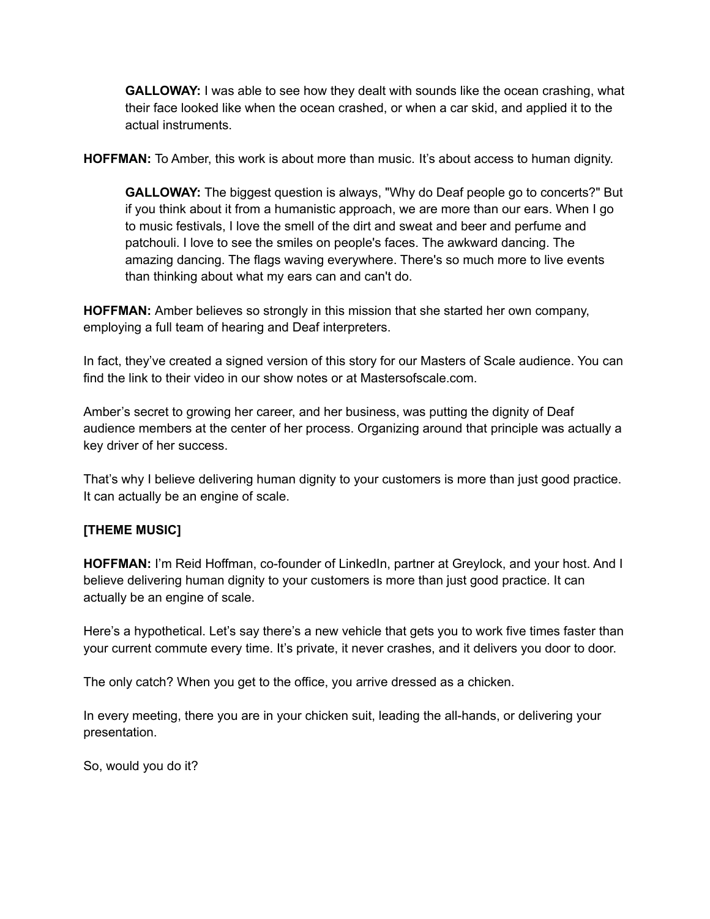**GALLOWAY:** I was able to see how they dealt with sounds like the ocean crashing, what their face looked like when the ocean crashed, or when a car skid, and applied it to the actual instruments.

**HOFFMAN:** To Amber, this work is about more than music. It's about access to human dignity.

**GALLOWAY:** The biggest question is always, "Why do Deaf people go to concerts?" But if you think about it from a humanistic approach, we are more than our ears. When I go to music festivals, I love the smell of the dirt and sweat and beer and perfume and patchouli. I love to see the smiles on people's faces. The awkward dancing. The amazing dancing. The flags waving everywhere. There's so much more to live events than thinking about what my ears can and can't do.

**HOFFMAN:** Amber believes so strongly in this mission that she started her own company, employing a full team of hearing and Deaf interpreters.

In fact, they've created a signed version of this story for our Masters of Scale audience. You can find the link to their video in our show notes or at Mastersofscale.com.

Amber's secret to growing her career, and her business, was putting the dignity of Deaf audience members at the center of her process. Organizing around that principle was actually a key driver of her success.

That's why I believe delivering human dignity to your customers is more than just good practice. It can actually be an engine of scale.

## **[THEME MUSIC]**

**HOFFMAN:** I'm Reid Hoffman, co-founder of LinkedIn, partner at Greylock, and your host. And I believe delivering human dignity to your customers is more than just good practice. It can actually be an engine of scale.

Here's a hypothetical. Let's say there's a new vehicle that gets you to work five times faster than your current commute every time. It's private, it never crashes, and it delivers you door to door.

The only catch? When you get to the office, you arrive dressed as a chicken.

In every meeting, there you are in your chicken suit, leading the all-hands, or delivering your presentation.

So, would you do it?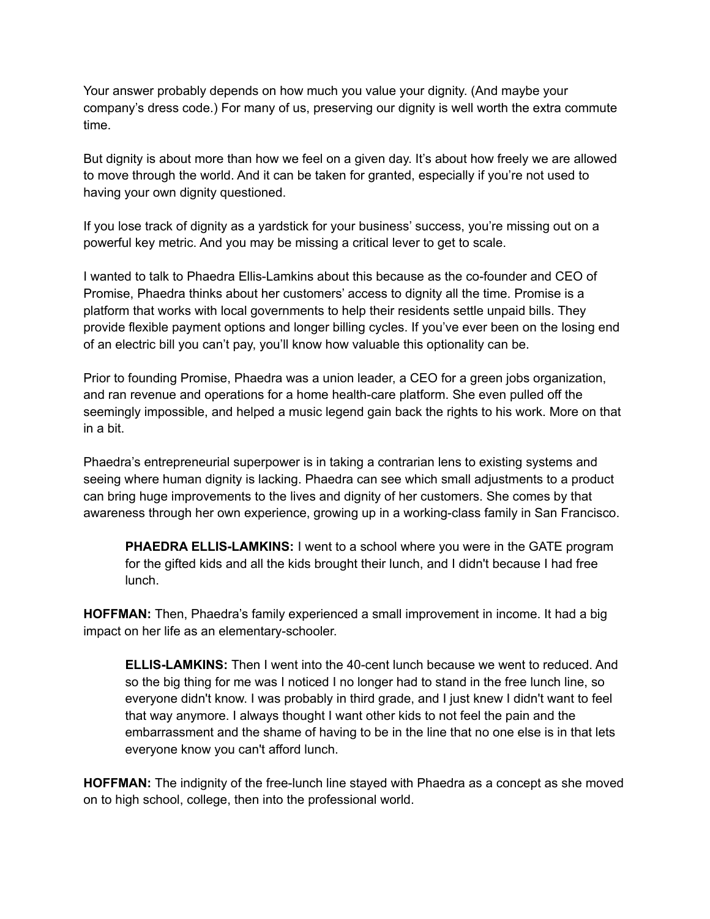Your answer probably depends on how much you value your dignity. (And maybe your company's dress code.) For many of us, preserving our dignity is well worth the extra commute time.

But dignity is about more than how we feel on a given day. It's about how freely we are allowed to move through the world. And it can be taken for granted, especially if you're not used to having your own dignity questioned.

If you lose track of dignity as a yardstick for your business' success, you're missing out on a powerful key metric. And you may be missing a critical lever to get to scale.

I wanted to talk to Phaedra Ellis-Lamkins about this because as the co-founder and CEO of Promise, Phaedra thinks about her customers' access to dignity all the time. Promise is a platform that works with local governments to help their residents settle unpaid bills. They provide flexible payment options and longer billing cycles. If you've ever been on the losing end of an electric bill you can't pay, you'll know how valuable this optionality can be.

Prior to founding Promise, Phaedra was a union leader, a CEO for a green jobs organization, and ran revenue and operations for a home health-care platform. She even pulled off the seemingly impossible, and helped a music legend gain back the rights to his work. More on that in a bit.

Phaedra's entrepreneurial superpower is in taking a contrarian lens to existing systems and seeing where human dignity is lacking. Phaedra can see which small adjustments to a product can bring huge improvements to the lives and dignity of her customers. She comes by that awareness through her own experience, growing up in a working-class family in San Francisco.

**PHAEDRA ELLIS-LAMKINS:** I went to a school where you were in the GATE program for the gifted kids and all the kids brought their lunch, and I didn't because I had free lunch.

**HOFFMAN:** Then, Phaedra's family experienced a small improvement in income. It had a big impact on her life as an elementary-schooler.

**ELLIS-LAMKINS:** Then I went into the 40-cent lunch because we went to reduced. And so the big thing for me was I noticed I no longer had to stand in the free lunch line, so everyone didn't know. I was probably in third grade, and I just knew I didn't want to feel that way anymore. I always thought I want other kids to not feel the pain and the embarrassment and the shame of having to be in the line that no one else is in that lets everyone know you can't afford lunch.

**HOFFMAN:** The indignity of the free-lunch line stayed with Phaedra as a concept as she moved on to high school, college, then into the professional world.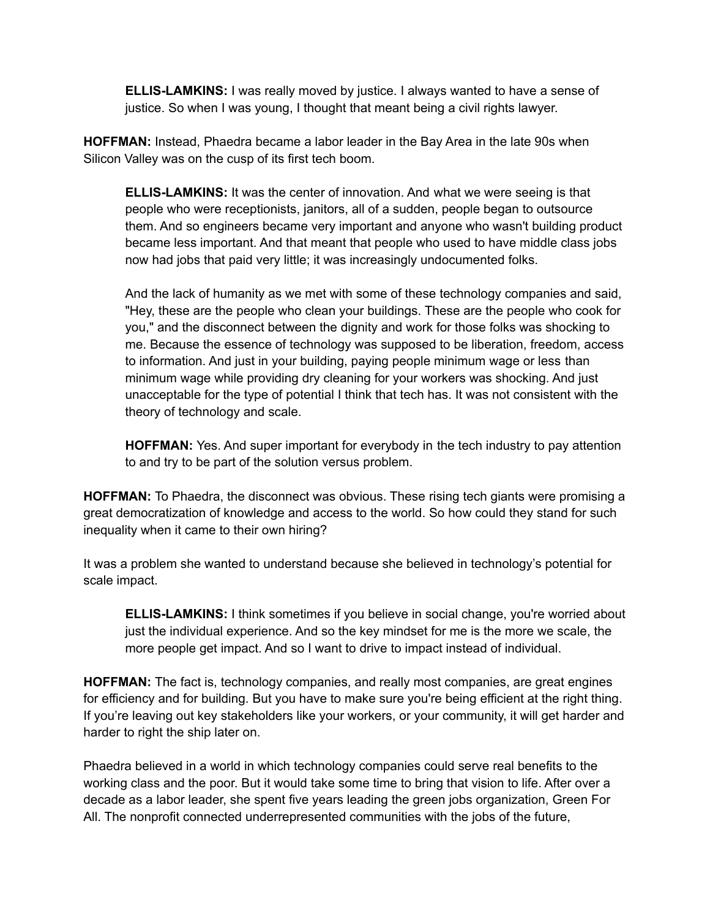**ELLIS-LAMKINS:** I was really moved by justice. I always wanted to have a sense of justice. So when I was young, I thought that meant being a civil rights lawyer.

**HOFFMAN:** Instead, Phaedra became a labor leader in the Bay Area in the late 90s when Silicon Valley was on the cusp of its first tech boom.

**ELLIS-LAMKINS:** It was the center of innovation. And what we were seeing is that people who were receptionists, janitors, all of a sudden, people began to outsource them. And so engineers became very important and anyone who wasn't building product became less important. And that meant that people who used to have middle class jobs now had jobs that paid very little; it was increasingly undocumented folks.

And the lack of humanity as we met with some of these technology companies and said, "Hey, these are the people who clean your buildings. These are the people who cook for you," and the disconnect between the dignity and work for those folks was shocking to me. Because the essence of technology was supposed to be liberation, freedom, access to information. And just in your building, paying people minimum wage or less than minimum wage while providing dry cleaning for your workers was shocking. And just unacceptable for the type of potential I think that tech has. It was not consistent with the theory of technology and scale.

**HOFFMAN:** Yes. And super important for everybody in the tech industry to pay attention to and try to be part of the solution versus problem.

**HOFFMAN:** To Phaedra, the disconnect was obvious. These rising tech giants were promising a great democratization of knowledge and access to the world. So how could they stand for such inequality when it came to their own hiring?

It was a problem she wanted to understand because she believed in technology's potential for scale impact.

**ELLIS-LAMKINS:** I think sometimes if you believe in social change, you're worried about just the individual experience. And so the key mindset for me is the more we scale, the more people get impact. And so I want to drive to impact instead of individual.

**HOFFMAN:** The fact is, technology companies, and really most companies, are great engines for efficiency and for building. But you have to make sure you're being efficient at the right thing. If you're leaving out key stakeholders like your workers, or your community, it will get harder and harder to right the ship later on.

Phaedra believed in a world in which technology companies could serve real benefits to the working class and the poor. But it would take some time to bring that vision to life. After over a decade as a labor leader, she spent five years leading the green jobs organization, Green For All. The nonprofit connected underrepresented communities with the jobs of the future,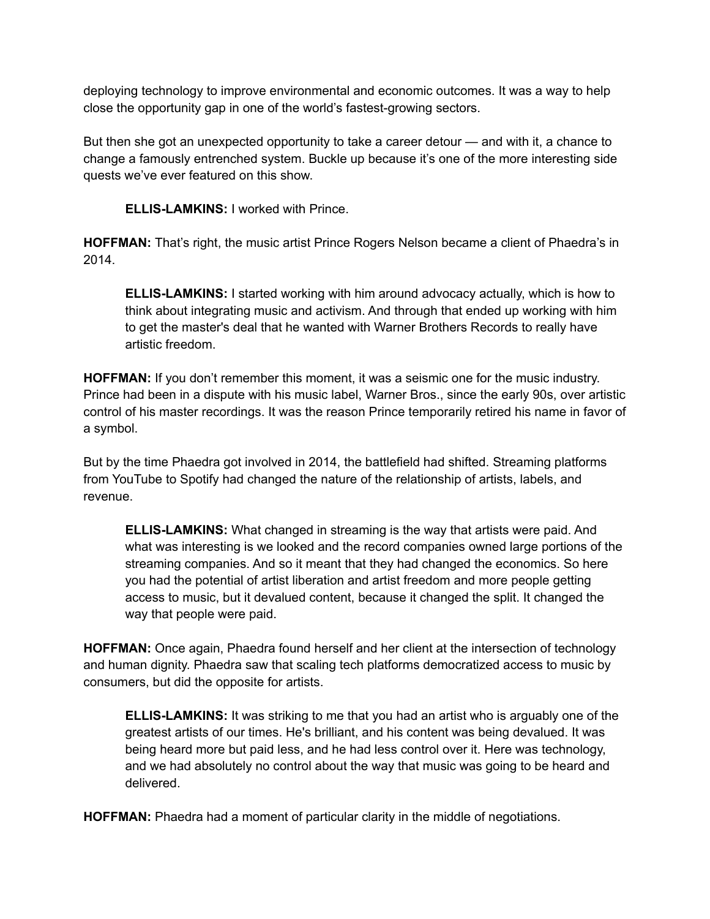deploying technology to improve environmental and economic outcomes. It was a way to help close the opportunity gap in one of the world's fastest-growing sectors.

But then she got an unexpected opportunity to take a career detour — and with it, a chance to change a famously entrenched system. Buckle up because it's one of the more interesting side quests we've ever featured on this show.

**ELLIS-LAMKINS:** I worked with Prince.

**HOFFMAN:** That's right, the music artist Prince Rogers Nelson became a client of Phaedra's in 2014.

**ELLIS-LAMKINS:** I started working with him around advocacy actually, which is how to think about integrating music and activism. And through that ended up working with him to get the master's deal that he wanted with Warner Brothers Records to really have artistic freedom.

**HOFFMAN:** If you don't remember this moment, it was a seismic one for the music industry. Prince had been in a dispute with his music label, Warner Bros., since the early 90s, over artistic control of his master recordings. It was the reason Prince temporarily retired his name in favor of a symbol.

But by the time Phaedra got involved in 2014, the battlefield had shifted. Streaming platforms from YouTube to Spotify had changed the nature of the relationship of artists, labels, and revenue.

**ELLIS-LAMKINS:** What changed in streaming is the way that artists were paid. And what was interesting is we looked and the record companies owned large portions of the streaming companies. And so it meant that they had changed the economics. So here you had the potential of artist liberation and artist freedom and more people getting access to music, but it devalued content, because it changed the split. It changed the way that people were paid.

**HOFFMAN:** Once again, Phaedra found herself and her client at the intersection of technology and human dignity. Phaedra saw that scaling tech platforms democratized access to music by consumers, but did the opposite for artists.

**ELLIS-LAMKINS:** It was striking to me that you had an artist who is arguably one of the greatest artists of our times. He's brilliant, and his content was being devalued. It was being heard more but paid less, and he had less control over it. Here was technology, and we had absolutely no control about the way that music was going to be heard and delivered.

**HOFFMAN:** Phaedra had a moment of particular clarity in the middle of negotiations.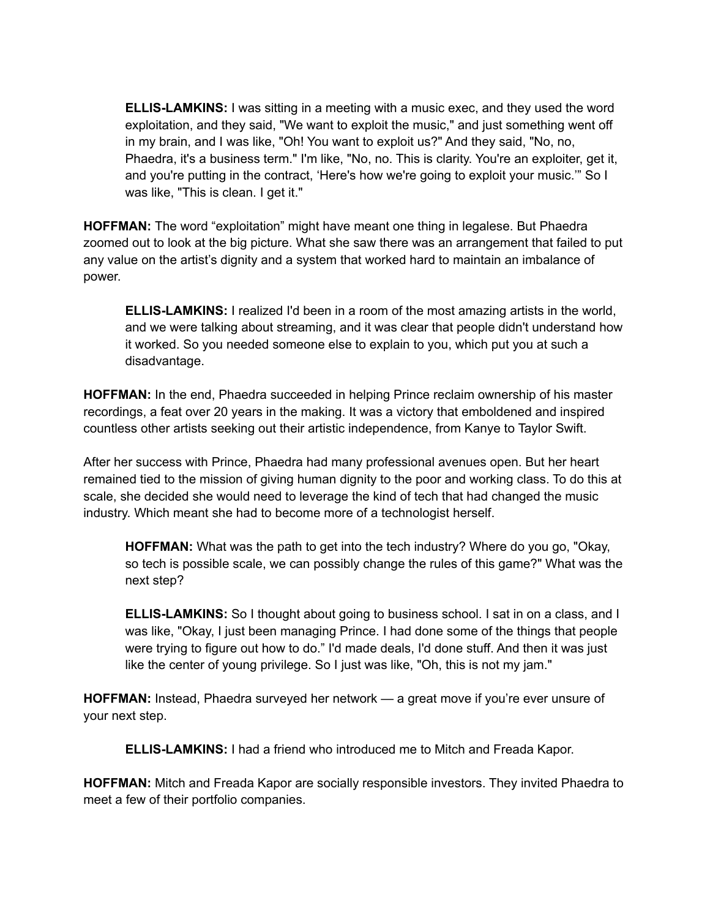**ELLIS-LAMKINS:** I was sitting in a meeting with a music exec, and they used the word exploitation, and they said, "We want to exploit the music," and just something went off in my brain, and I was like, "Oh! You want to exploit us?" And they said, "No, no, Phaedra, it's a business term." I'm like, "No, no. This is clarity. You're an exploiter, get it, and you're putting in the contract, 'Here's how we're going to exploit your music.'" So I was like, "This is clean. I get it."

**HOFFMAN:** The word "exploitation" might have meant one thing in legalese. But Phaedra zoomed out to look at the big picture. What she saw there was an arrangement that failed to put any value on the artist's dignity and a system that worked hard to maintain an imbalance of power.

**ELLIS-LAMKINS:** I realized I'd been in a room of the most amazing artists in the world, and we were talking about streaming, and it was clear that people didn't understand how it worked. So you needed someone else to explain to you, which put you at such a disadvantage.

**HOFFMAN:** In the end, Phaedra succeeded in helping Prince reclaim ownership of his master recordings, a feat over 20 years in the making. It was a victory that emboldened and inspired countless other artists seeking out their artistic independence, from Kanye to Taylor Swift.

After her success with Prince, Phaedra had many professional avenues open. But her heart remained tied to the mission of giving human dignity to the poor and working class. To do this at scale, she decided she would need to leverage the kind of tech that had changed the music industry. Which meant she had to become more of a technologist herself.

**HOFFMAN:** What was the path to get into the tech industry? Where do you go, "Okay, so tech is possible scale, we can possibly change the rules of this game?" What was the next step?

**ELLIS-LAMKINS:** So I thought about going to business school. I sat in on a class, and I was like, "Okay, I just been managing Prince. I had done some of the things that people were trying to figure out how to do." I'd made deals, I'd done stuff. And then it was just like the center of young privilege. So I just was like, "Oh, this is not my jam."

**HOFFMAN:** Instead, Phaedra surveyed her network — a great move if you're ever unsure of your next step.

**ELLIS-LAMKINS:** I had a friend who introduced me to Mitch and Freada Kapor.

**HOFFMAN:** Mitch and Freada Kapor are socially responsible investors. They invited Phaedra to meet a few of their portfolio companies.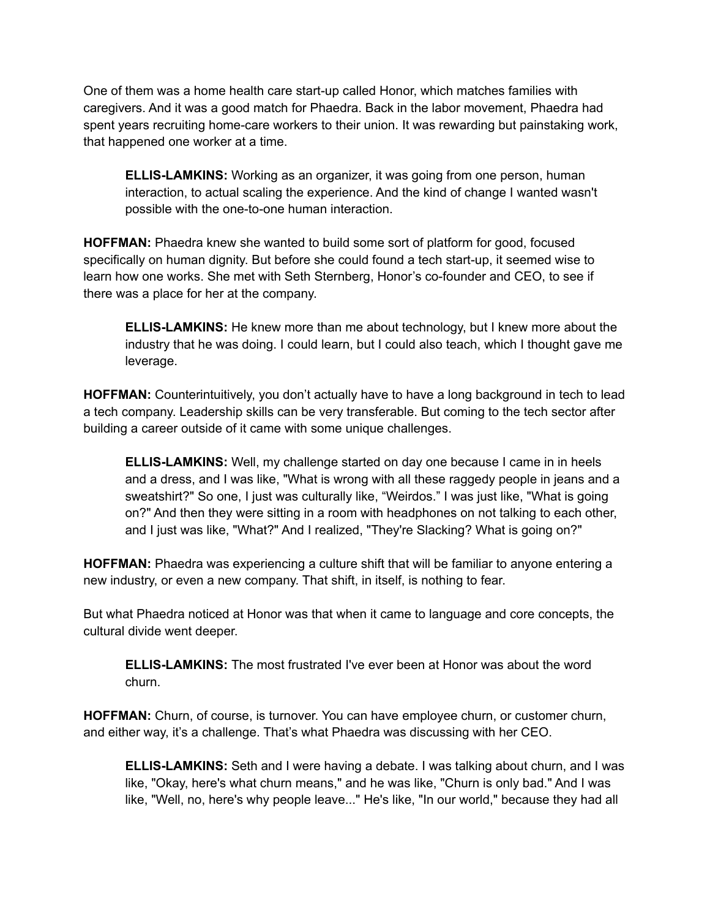One of them was a home health care start-up called Honor, which matches families with caregivers. And it was a good match for Phaedra. Back in the labor movement, Phaedra had spent years recruiting home-care workers to their union. It was rewarding but painstaking work, that happened one worker at a time.

**ELLIS-LAMKINS:** Working as an organizer, it was going from one person, human interaction, to actual scaling the experience. And the kind of change I wanted wasn't possible with the one-to-one human interaction.

**HOFFMAN:** Phaedra knew she wanted to build some sort of platform for good, focused specifically on human dignity. But before she could found a tech start-up, it seemed wise to learn how one works. She met with Seth Sternberg, Honor's co-founder and CEO, to see if there was a place for her at the company.

**ELLIS-LAMKINS:** He knew more than me about technology, but I knew more about the industry that he was doing. I could learn, but I could also teach, which I thought gave me leverage.

**HOFFMAN:** Counterintuitively, you don't actually have to have a long background in tech to lead a tech company. Leadership skills can be very transferable. But coming to the tech sector after building a career outside of it came with some unique challenges.

**ELLIS-LAMKINS:** Well, my challenge started on day one because I came in in heels and a dress, and I was like, "What is wrong with all these raggedy people in jeans and a sweatshirt?" So one, I just was culturally like, "Weirdos." I was just like, "What is going on?" And then they were sitting in a room with headphones on not talking to each other, and I just was like, "What?" And I realized, "They're Slacking? What is going on?"

**HOFFMAN:** Phaedra was experiencing a culture shift that will be familiar to anyone entering a new industry, or even a new company. That shift, in itself, is nothing to fear.

But what Phaedra noticed at Honor was that when it came to language and core concepts, the cultural divide went deeper.

**ELLIS-LAMKINS:** The most frustrated I've ever been at Honor was about the word churn.

**HOFFMAN:** Churn, of course, is turnover. You can have employee churn, or customer churn, and either way, it's a challenge. That's what Phaedra was discussing with her CEO.

**ELLIS-LAMKINS:** Seth and I were having a debate. I was talking about churn, and I was like, "Okay, here's what churn means," and he was like, "Churn is only bad." And I was like, "Well, no, here's why people leave..." He's like, "In our world," because they had all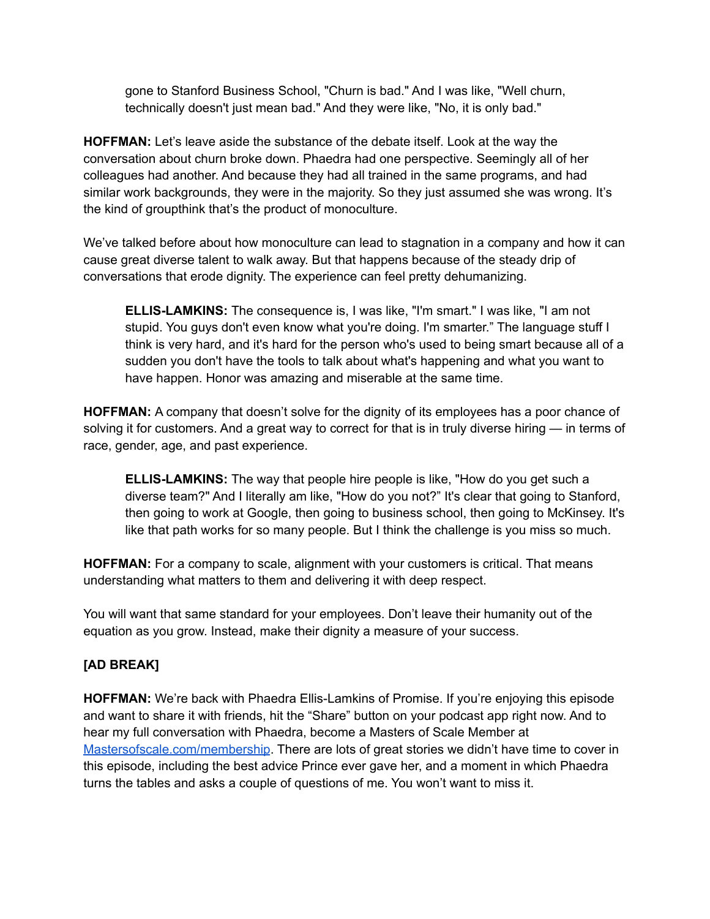gone to Stanford Business School, "Churn is bad." And I was like, "Well churn, technically doesn't just mean bad." And they were like, "No, it is only bad."

**HOFFMAN:** Let's leave aside the substance of the debate itself. Look at the way the conversation about churn broke down. Phaedra had one perspective. Seemingly all of her colleagues had another. And because they had all trained in the same programs, and had similar work backgrounds, they were in the majority. So they just assumed she was wrong. It's the kind of groupthink that's the product of monoculture.

We've talked before about how monoculture can lead to stagnation in a company and how it can cause great diverse talent to walk away. But that happens because of the steady drip of conversations that erode dignity. The experience can feel pretty dehumanizing.

**ELLIS-LAMKINS:** The consequence is, I was like, "I'm smart." I was like, "I am not stupid. You guys don't even know what you're doing. I'm smarter." The language stuff I think is very hard, and it's hard for the person who's used to being smart because all of a sudden you don't have the tools to talk about what's happening and what you want to have happen. Honor was amazing and miserable at the same time.

**HOFFMAN:** A company that doesn't solve for the dignity of its employees has a poor chance of solving it for customers. And a great way to correct for that is in truly diverse hiring — in terms of race, gender, age, and past experience.

**ELLIS-LAMKINS:** The way that people hire people is like, "How do you get such a diverse team?" And I literally am like, "How do you not?" It's clear that going to Stanford, then going to work at Google, then going to business school, then going to McKinsey. It's like that path works for so many people. But I think the challenge is you miss so much.

**HOFFMAN:** For a company to scale, alignment with your customers is critical. That means understanding what matters to them and delivering it with deep respect.

You will want that same standard for your employees. Don't leave their humanity out of the equation as you grow. Instead, make their dignity a measure of your success.

## **[AD BREAK]**

**HOFFMAN:** We're back with Phaedra Ellis-Lamkins of Promise. If you're enjoying this episode and want to share it with friends, hit the "Share" button on your podcast app right now. And to hear my full conversation with Phaedra, become a Masters of Scale Member at [Mastersofscale.com/membership](http://mastersofscale.com/membership). There are lots of great stories we didn't have time to cover in this episode, including the best advice Prince ever gave her, and a moment in which Phaedra turns the tables and asks a couple of questions of me. You won't want to miss it.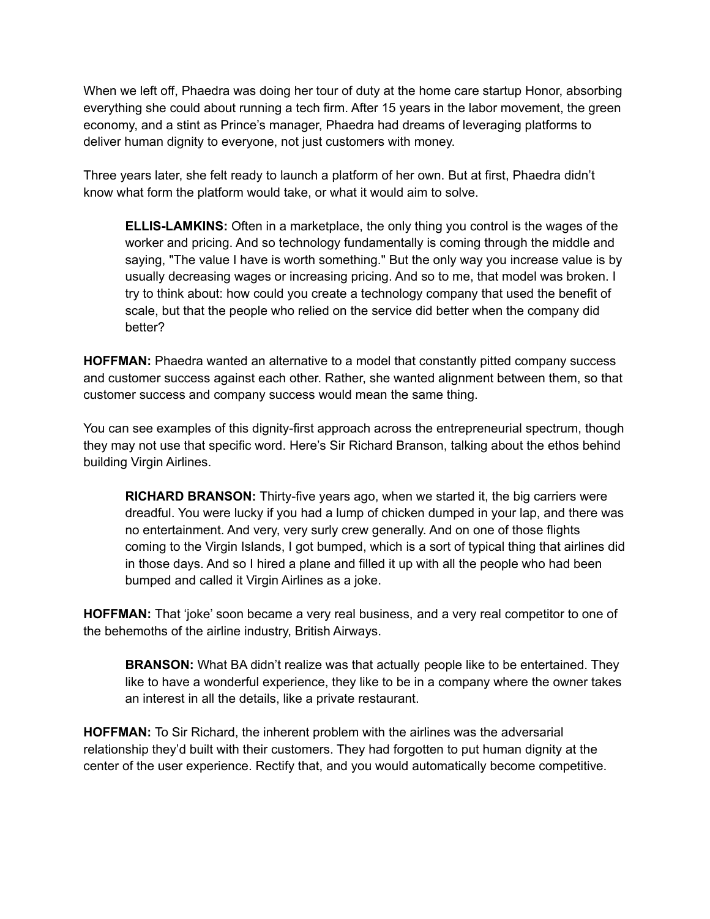When we left off, Phaedra was doing her tour of duty at the home care startup Honor, absorbing everything she could about running a tech firm. After 15 years in the labor movement, the green economy, and a stint as Prince's manager, Phaedra had dreams of leveraging platforms to deliver human dignity to everyone, not just customers with money.

Three years later, she felt ready to launch a platform of her own. But at first, Phaedra didn't know what form the platform would take, or what it would aim to solve.

**ELLIS-LAMKINS:** Often in a marketplace, the only thing you control is the wages of the worker and pricing. And so technology fundamentally is coming through the middle and saying, "The value I have is worth something." But the only way you increase value is by usually decreasing wages or increasing pricing. And so to me, that model was broken. I try to think about: how could you create a technology company that used the benefit of scale, but that the people who relied on the service did better when the company did better?

**HOFFMAN:** Phaedra wanted an alternative to a model that constantly pitted company success and customer success against each other. Rather, she wanted alignment between them, so that customer success and company success would mean the same thing.

You can see examples of this dignity-first approach across the entrepreneurial spectrum, though they may not use that specific word. Here's Sir Richard Branson, talking about the ethos behind building Virgin Airlines.

**RICHARD BRANSON:** Thirty-five years ago, when we started it, the big carriers were dreadful. You were lucky if you had a lump of chicken dumped in your lap, and there was no entertainment. And very, very surly crew generally. And on one of those flights coming to the Virgin Islands, I got bumped, which is a sort of typical thing that airlines did in those days. And so I hired a plane and filled it up with all the people who had been bumped and called it Virgin Airlines as a joke.

**HOFFMAN:** That 'joke' soon became a very real business, and a very real competitor to one of the behemoths of the airline industry, British Airways.

**BRANSON:** What BA didn't realize was that actually people like to be entertained. They like to have a wonderful experience, they like to be in a company where the owner takes an interest in all the details, like a private restaurant.

**HOFFMAN:** To Sir Richard, the inherent problem with the airlines was the adversarial relationship they'd built with their customers. They had forgotten to put human dignity at the center of the user experience. Rectify that, and you would automatically become competitive.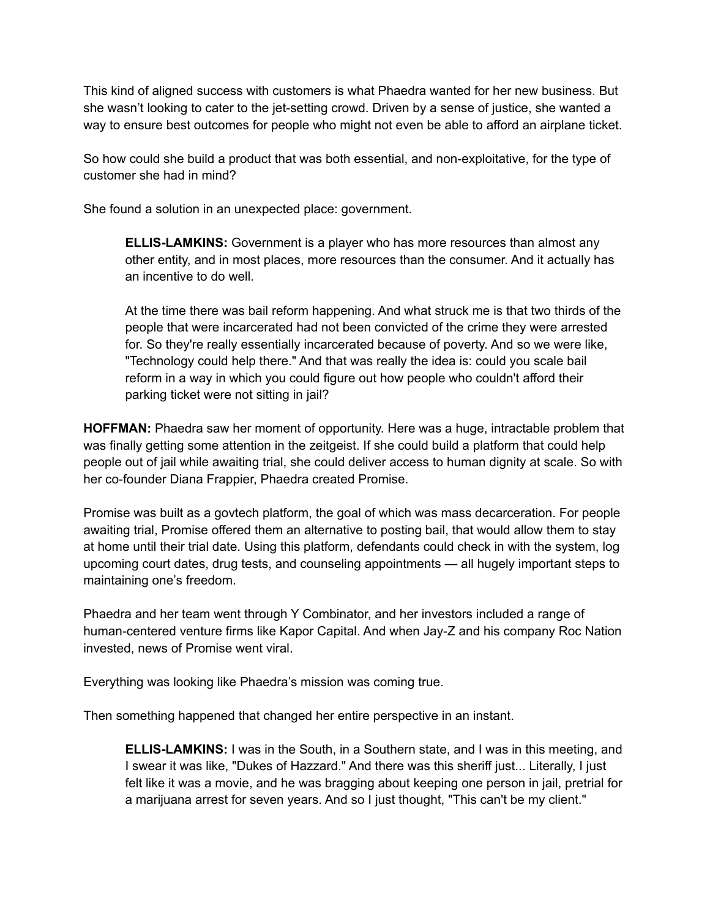This kind of aligned success with customers is what Phaedra wanted for her new business. But she wasn't looking to cater to the jet-setting crowd. Driven by a sense of justice, she wanted a way to ensure best outcomes for people who might not even be able to afford an airplane ticket.

So how could she build a product that was both essential, and non-exploitative, for the type of customer she had in mind?

She found a solution in an unexpected place: government.

**ELLIS-LAMKINS:** Government is a player who has more resources than almost any other entity, and in most places, more resources than the consumer. And it actually has an incentive to do well.

At the time there was bail reform happening. And what struck me is that two thirds of the people that were incarcerated had not been convicted of the crime they were arrested for. So they're really essentially incarcerated because of poverty. And so we were like, "Technology could help there." And that was really the idea is: could you scale bail reform in a way in which you could figure out how people who couldn't afford their parking ticket were not sitting in jail?

**HOFFMAN:** Phaedra saw her moment of opportunity. Here was a huge, intractable problem that was finally getting some attention in the zeitgeist. If she could build a platform that could help people out of jail while awaiting trial, she could deliver access to human dignity at scale. So with her co-founder Diana Frappier, Phaedra created Promise.

Promise was built as a govtech platform, the goal of which was mass decarceration. For people awaiting trial, Promise offered them an alternative to posting bail, that would allow them to stay at home until their trial date. Using this platform, defendants could check in with the system, log upcoming court dates, drug tests, and counseling appointments — all hugely important steps to maintaining one's freedom.

Phaedra and her team went through Y Combinator, and her investors included a range of human-centered venture firms like Kapor Capital. And when Jay-Z and his company Roc Nation invested, news of Promise went viral.

Everything was looking like Phaedra's mission was coming true.

Then something happened that changed her entire perspective in an instant.

**ELLIS-LAMKINS:** I was in the South, in a Southern state, and I was in this meeting, and I swear it was like, "Dukes of Hazzard." And there was this sheriff just... Literally, I just felt like it was a movie, and he was bragging about keeping one person in jail, pretrial for a marijuana arrest for seven years. And so I just thought, "This can't be my client."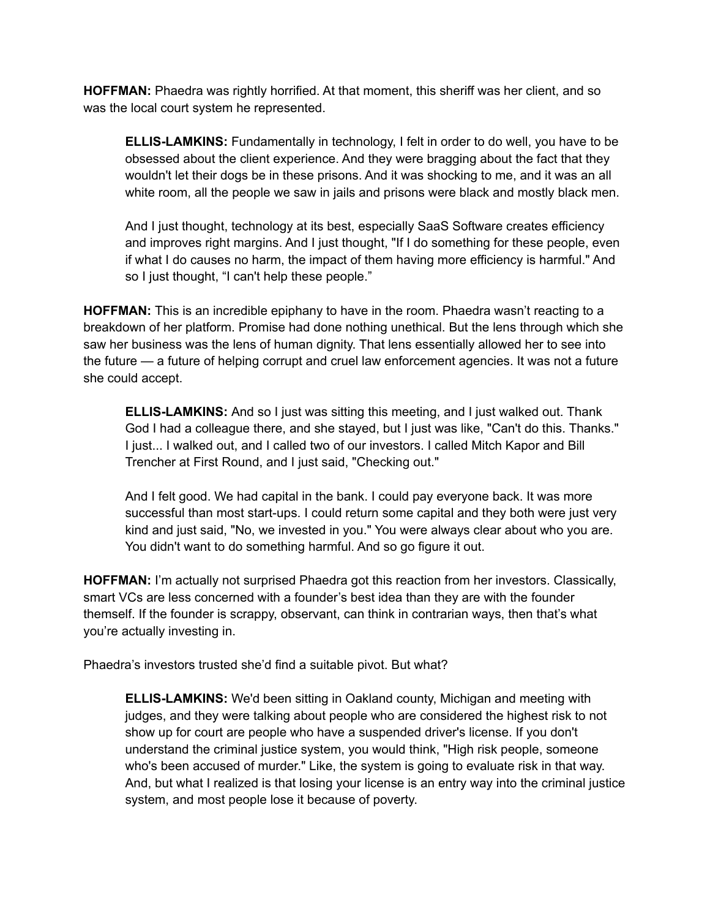**HOFFMAN:** Phaedra was rightly horrified. At that moment, this sheriff was her client, and so was the local court system he represented.

**ELLIS-LAMKINS:** Fundamentally in technology, I felt in order to do well, you have to be obsessed about the client experience. And they were bragging about the fact that they wouldn't let their dogs be in these prisons. And it was shocking to me, and it was an all white room, all the people we saw in jails and prisons were black and mostly black men.

And I just thought, technology at its best, especially SaaS Software creates efficiency and improves right margins. And I just thought, "If I do something for these people, even if what I do causes no harm, the impact of them having more efficiency is harmful." And so I just thought, "I can't help these people."

**HOFFMAN:** This is an incredible epiphany to have in the room. Phaedra wasn't reacting to a breakdown of her platform. Promise had done nothing unethical. But the lens through which she saw her business was the lens of human dignity. That lens essentially allowed her to see into the future — a future of helping corrupt and cruel law enforcement agencies. It was not a future she could accept.

**ELLIS-LAMKINS:** And so I just was sitting this meeting, and I just walked out. Thank God I had a colleague there, and she stayed, but I just was like, "Can't do this. Thanks." I just... I walked out, and I called two of our investors. I called Mitch Kapor and Bill Trencher at First Round, and I just said, "Checking out."

And I felt good. We had capital in the bank. I could pay everyone back. It was more successful than most start-ups. I could return some capital and they both were just very kind and just said, "No, we invested in you." You were always clear about who you are. You didn't want to do something harmful. And so go figure it out.

**HOFFMAN:** I'm actually not surprised Phaedra got this reaction from her investors. Classically, smart VCs are less concerned with a founder's best idea than they are with the founder themself. If the founder is scrappy, observant, can think in contrarian ways, then that's what you're actually investing in.

Phaedra's investors trusted she'd find a suitable pivot. But what?

**ELLIS-LAMKINS:** We'd been sitting in Oakland county, Michigan and meeting with judges, and they were talking about people who are considered the highest risk to not show up for court are people who have a suspended driver's license. If you don't understand the criminal justice system, you would think, "High risk people, someone who's been accused of murder." Like, the system is going to evaluate risk in that way. And, but what I realized is that losing your license is an entry way into the criminal justice system, and most people lose it because of poverty.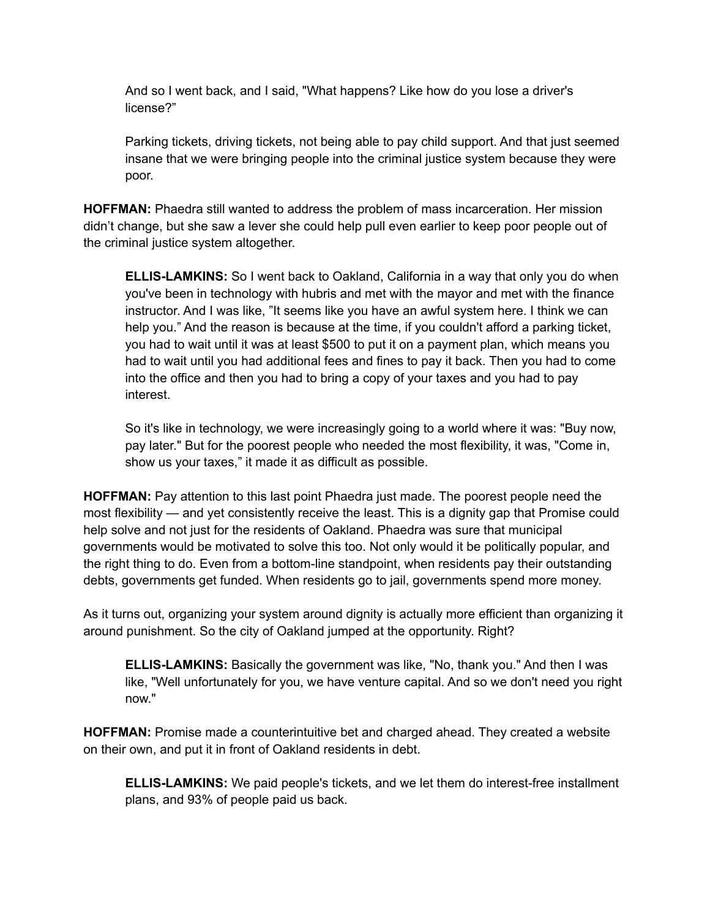And so I went back, and I said, "What happens? Like how do you lose a driver's license?"

Parking tickets, driving tickets, not being able to pay child support. And that just seemed insane that we were bringing people into the criminal justice system because they were poor.

**HOFFMAN:** Phaedra still wanted to address the problem of mass incarceration. Her mission didn't change, but she saw a lever she could help pull even earlier to keep poor people out of the criminal justice system altogether.

**ELLIS-LAMKINS:** So I went back to Oakland, California in a way that only you do when you've been in technology with hubris and met with the mayor and met with the finance instructor. And I was like, "It seems like you have an awful system here. I think we can help you." And the reason is because at the time, if you couldn't afford a parking ticket, you had to wait until it was at least \$500 to put it on a payment plan, which means you had to wait until you had additional fees and fines to pay it back. Then you had to come into the office and then you had to bring a copy of your taxes and you had to pay interest.

So it's like in technology, we were increasingly going to a world where it was: "Buy now, pay later." But for the poorest people who needed the most flexibility, it was, "Come in, show us your taxes," it made it as difficult as possible.

**HOFFMAN:** Pay attention to this last point Phaedra just made. The poorest people need the most flexibility — and yet consistently receive the least. This is a dignity gap that Promise could help solve and not just for the residents of Oakland. Phaedra was sure that municipal governments would be motivated to solve this too. Not only would it be politically popular, and the right thing to do. Even from a bottom-line standpoint, when residents pay their outstanding debts, governments get funded. When residents go to jail, governments spend more money.

As it turns out, organizing your system around dignity is actually more efficient than organizing it around punishment. So the city of Oakland jumped at the opportunity. Right?

**ELLIS-LAMKINS:** Basically the government was like, "No, thank you." And then I was like, "Well unfortunately for you, we have venture capital. And so we don't need you right now."

**HOFFMAN:** Promise made a counterintuitive bet and charged ahead. They created a website on their own, and put it in front of Oakland residents in debt.

**ELLIS-LAMKINS:** We paid people's tickets, and we let them do interest-free installment plans, and 93% of people paid us back.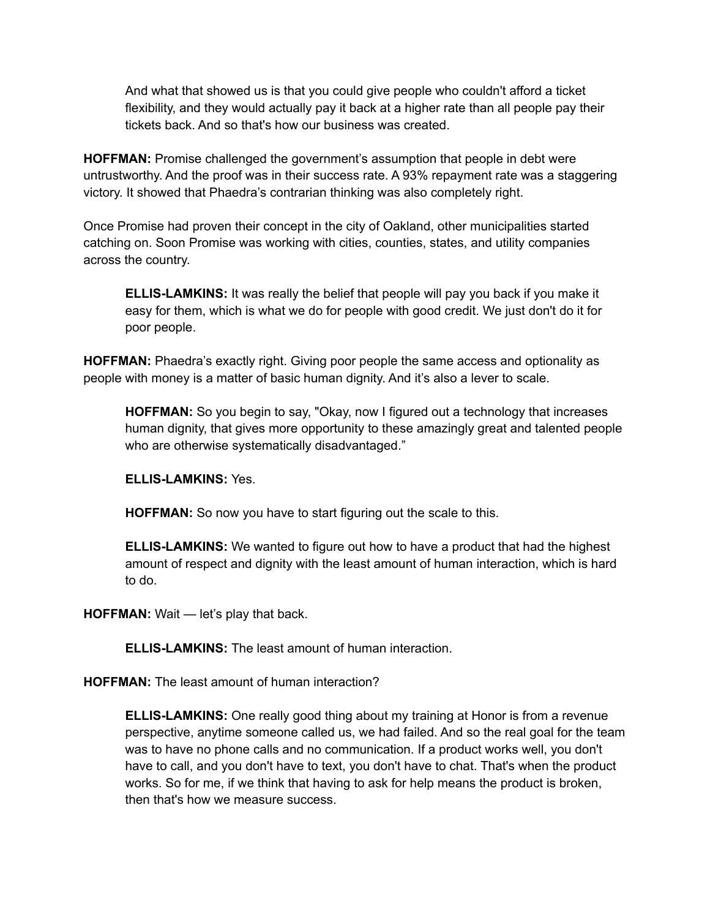And what that showed us is that you could give people who couldn't afford a ticket flexibility, and they would actually pay it back at a higher rate than all people pay their tickets back. And so that's how our business was created.

**HOFFMAN:** Promise challenged the government's assumption that people in debt were untrustworthy. And the proof was in their success rate. A 93% repayment rate was a staggering victory. It showed that Phaedra's contrarian thinking was also completely right.

Once Promise had proven their concept in the city of Oakland, other municipalities started catching on. Soon Promise was working with cities, counties, states, and utility companies across the country.

**ELLIS-LAMKINS:** It was really the belief that people will pay you back if you make it easy for them, which is what we do for people with good credit. We just don't do it for poor people.

**HOFFMAN:** Phaedra's exactly right. Giving poor people the same access and optionality as people with money is a matter of basic human dignity. And it's also a lever to scale.

**HOFFMAN:** So you begin to say, "Okay, now I figured out a technology that increases human dignity, that gives more opportunity to these amazingly great and talented people who are otherwise systematically disadvantaged."

**ELLIS-LAMKINS:** Yes.

**HOFFMAN:** So now you have to start figuring out the scale to this.

**ELLIS-LAMKINS:** We wanted to figure out how to have a product that had the highest amount of respect and dignity with the least amount of human interaction, which is hard to do.

**HOFFMAN:** Wait — let's play that back.

**ELLIS-LAMKINS:** The least amount of human interaction.

**HOFFMAN:** The least amount of human interaction?

**ELLIS-LAMKINS:** One really good thing about my training at Honor is from a revenue perspective, anytime someone called us, we had failed. And so the real goal for the team was to have no phone calls and no communication. If a product works well, you don't have to call, and you don't have to text, you don't have to chat. That's when the product works. So for me, if we think that having to ask for help means the product is broken, then that's how we measure success.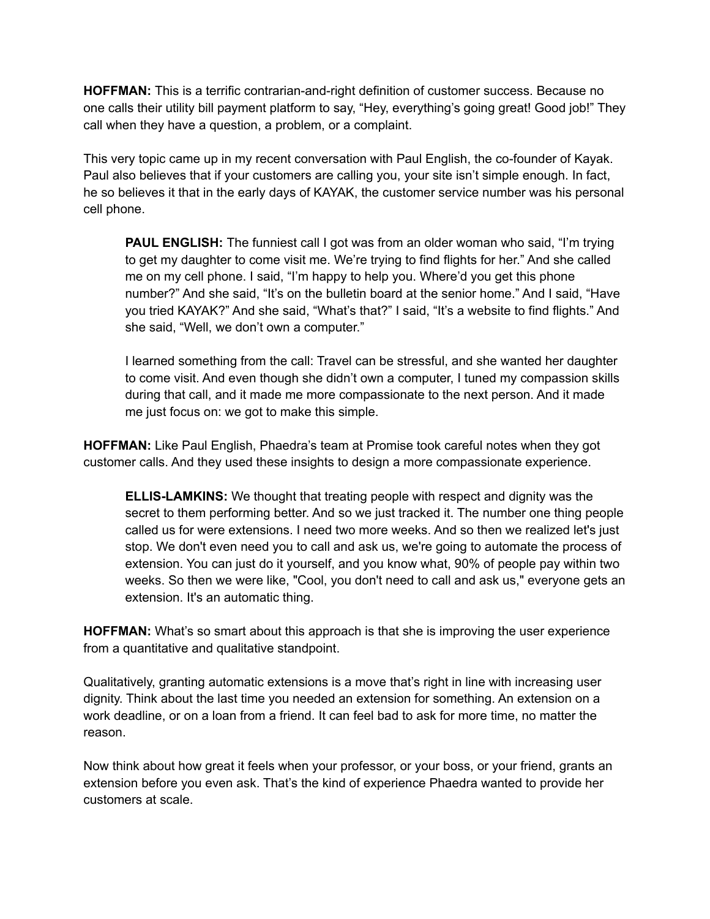**HOFFMAN:** This is a terrific contrarian-and-right definition of customer success. Because no one calls their utility bill payment platform to say, "Hey, everything's going great! Good job!" They call when they have a question, a problem, or a complaint.

This very topic came up in my recent conversation with Paul English, the co-founder of Kayak. Paul also believes that if your customers are calling you, your site isn't simple enough. In fact, he so believes it that in the early days of KAYAK, the customer service number was his personal cell phone.

**PAUL ENGLISH:** The funniest call I got was from an older woman who said, "I'm trying to get my daughter to come visit me. We're trying to find flights for her." And she called me on my cell phone. I said, "I'm happy to help you. Where'd you get this phone number?" And she said, "It's on the bulletin board at the senior home." And I said, "Have you tried KAYAK?" And she said, "What's that?" I said, "It's a website to find flights." And she said, "Well, we don't own a computer."

I learned something from the call: Travel can be stressful, and she wanted her daughter to come visit. And even though she didn't own a computer, I tuned my compassion skills during that call, and it made me more compassionate to the next person. And it made me just focus on: we got to make this simple.

**HOFFMAN:** Like Paul English, Phaedra's team at Promise took careful notes when they got customer calls. And they used these insights to design a more compassionate experience.

**ELLIS-LAMKINS:** We thought that treating people with respect and dignity was the secret to them performing better. And so we just tracked it. The number one thing people called us for were extensions. I need two more weeks. And so then we realized let's just stop. We don't even need you to call and ask us, we're going to automate the process of extension. You can just do it yourself, and you know what, 90% of people pay within two weeks. So then we were like, "Cool, you don't need to call and ask us," everyone gets an extension. It's an automatic thing.

**HOFFMAN:** What's so smart about this approach is that she is improving the user experience from a quantitative and qualitative standpoint.

Qualitatively, granting automatic extensions is a move that's right in line with increasing user dignity. Think about the last time you needed an extension for something. An extension on a work deadline, or on a loan from a friend. It can feel bad to ask for more time, no matter the reason.

Now think about how great it feels when your professor, or your boss, or your friend, grants an extension before you even ask. That's the kind of experience Phaedra wanted to provide her customers at scale.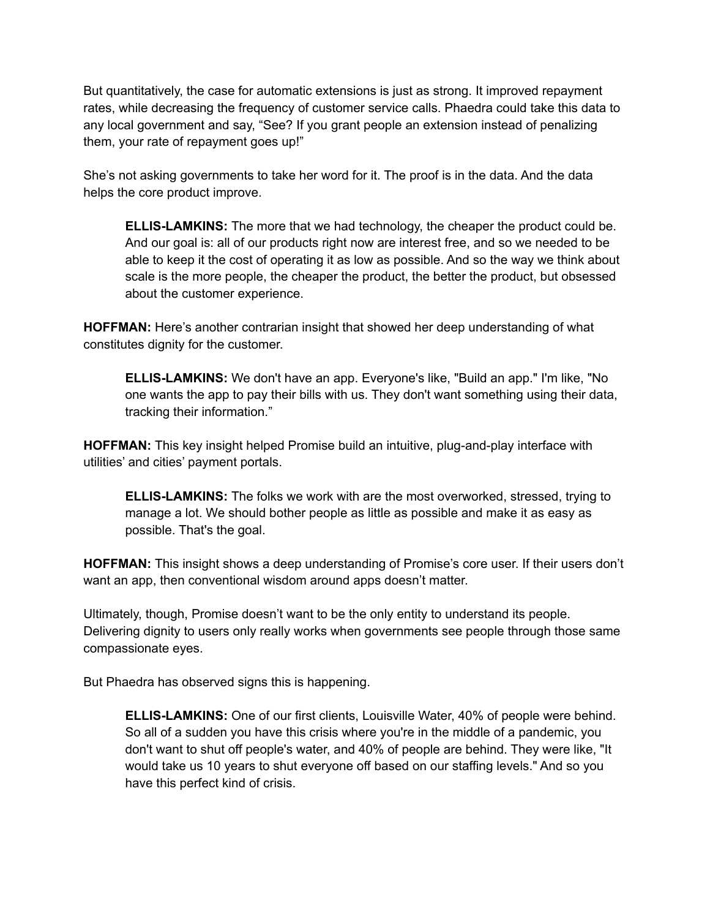But quantitatively, the case for automatic extensions is just as strong. It improved repayment rates, while decreasing the frequency of customer service calls. Phaedra could take this data to any local government and say, "See? If you grant people an extension instead of penalizing them, your rate of repayment goes up!"

She's not asking governments to take her word for it. The proof is in the data. And the data helps the core product improve.

**ELLIS-LAMKINS:** The more that we had technology, the cheaper the product could be. And our goal is: all of our products right now are interest free, and so we needed to be able to keep it the cost of operating it as low as possible. And so the way we think about scale is the more people, the cheaper the product, the better the product, but obsessed about the customer experience.

**HOFFMAN:** Here's another contrarian insight that showed her deep understanding of what constitutes dignity for the customer.

**ELLIS-LAMKINS:** We don't have an app. Everyone's like, "Build an app." I'm like, "No one wants the app to pay their bills with us. They don't want something using their data, tracking their information."

**HOFFMAN:** This key insight helped Promise build an intuitive, plug-and-play interface with utilities' and cities' payment portals.

**ELLIS-LAMKINS:** The folks we work with are the most overworked, stressed, trying to manage a lot. We should bother people as little as possible and make it as easy as possible. That's the goal.

**HOFFMAN:** This insight shows a deep understanding of Promise's core user. If their users don't want an app, then conventional wisdom around apps doesn't matter.

Ultimately, though, Promise doesn't want to be the only entity to understand its people. Delivering dignity to users only really works when governments see people through those same compassionate eyes.

But Phaedra has observed signs this is happening.

**ELLIS-LAMKINS:** One of our first clients, Louisville Water, 40% of people were behind. So all of a sudden you have this crisis where you're in the middle of a pandemic, you don't want to shut off people's water, and 40% of people are behind. They were like, "It would take us 10 years to shut everyone off based on our staffing levels." And so you have this perfect kind of crisis.